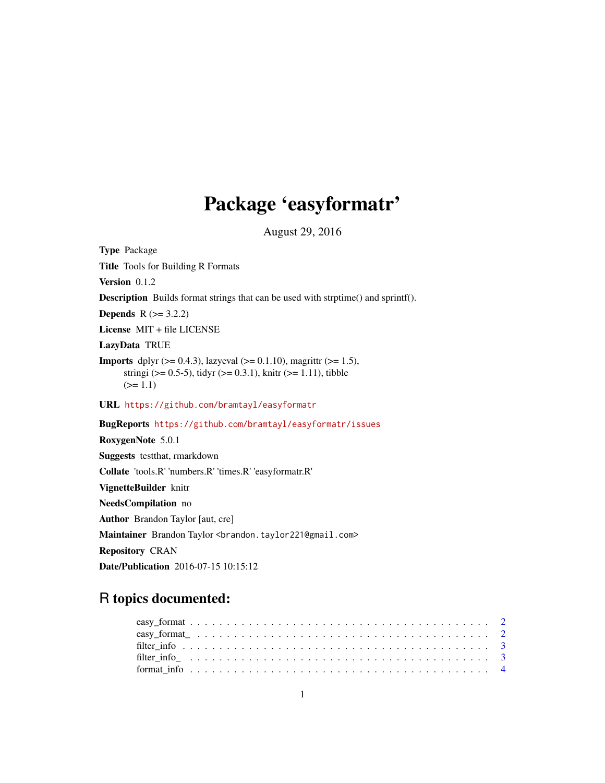## Package 'easyformatr'

August 29, 2016

Type Package Title Tools for Building R Formats Version 0.1.2 Description Builds format strings that can be used with strptime() and sprintf(). **Depends**  $R$  ( $> = 3.2.2$ ) License MIT + file LICENSE LazyData TRUE **Imports** dplyr  $(>= 0.4.3)$ , lazyeval  $(>= 0.1.10)$ , magrittr  $(>= 1.5)$ , stringi ( $> = 0.5-5$ ), tidyr ( $> = 0.3.1$ ), knitr ( $> = 1.11$ ), tibble  $(>= 1.1)$ URL <https://github.com/bramtayl/easyformatr> BugReports <https://github.com/bramtayl/easyformatr/issues> RoxygenNote 5.0.1 Suggests testthat, rmarkdown Collate 'tools.R' 'numbers.R' 'times.R' 'easyformatr.R' VignetteBuilder knitr NeedsCompilation no Author Brandon Taylor [aut, cre] Maintainer Brandon Taylor <br />brandon.taylor221@gmail.com> Repository CRAN Date/Publication 2016-07-15 10:15:12

### R topics documented: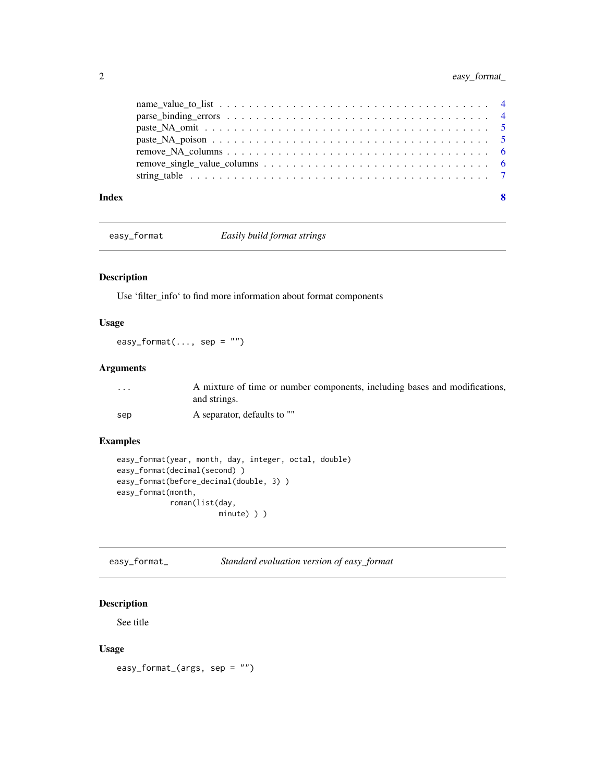<span id="page-1-0"></span>

| Index | - 8 |
|-------|-----|

easy\_format *Easily build format strings*

#### Description

Use 'filter\_info' to find more information about format components

#### Usage

easy\_format $(...,$  sep = "")

#### Arguments

| $\cdots$ | A mixture of time or number components, including bases and modifications,<br>and strings. |
|----------|--------------------------------------------------------------------------------------------|
| sep      | A separator, defaults to ""                                                                |

#### Examples

```
easy_format(year, month, day, integer, octal, double)
easy_format(decimal(second) )
easy_format(before_decimal(double, 3) )
easy_format(month,
            roman(list(day,
                       minute) ) )
```
easy\_format\_ *Standard evaluation version of easy\_format*

#### Description

See title

#### Usage

easy\_format\_(args, sep = "")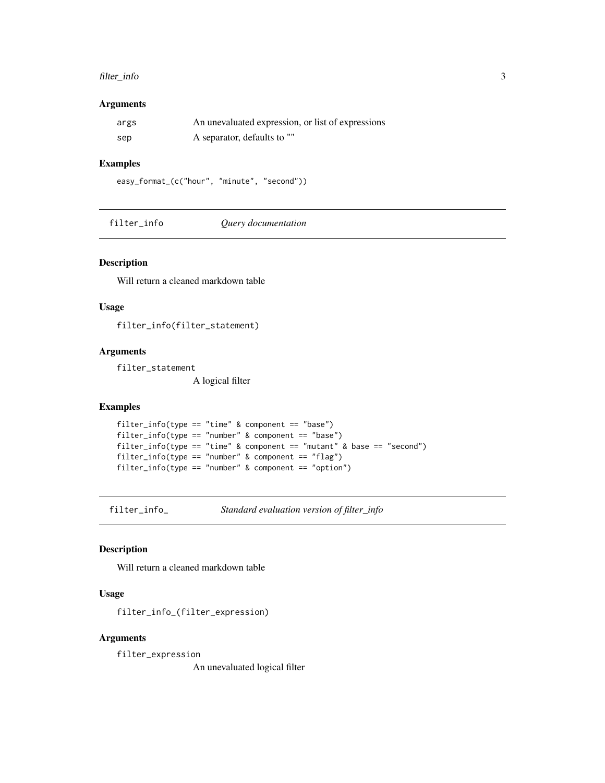#### <span id="page-2-0"></span>filter\_info 3

#### Arguments

| args | An unevaluated expression, or list of expressions |
|------|---------------------------------------------------|
| sep  | A separator, defaults to ""                       |

#### Examples

easy\_format\_(c("hour", "minute", "second"))

filter\_info *Query documentation*

#### Description

Will return a cleaned markdown table

#### Usage

filter\_info(filter\_statement)

#### Arguments

filter\_statement

A logical filter

#### Examples

```
filter_info(type == "time" & component == "base")
filter_info(type == "number" & component == "base")filter_info(type == "time" & component == "mutant" & base == "second")
filter\_info(type == "number" & component == "flag")filter_info(type == "number" & component == "option")
```
filter\_info\_ *Standard evaluation version of filter\_info*

#### Description

Will return a cleaned markdown table

#### Usage

filter\_info\_(filter\_expression)

#### Arguments

filter\_expression

An unevaluated logical filter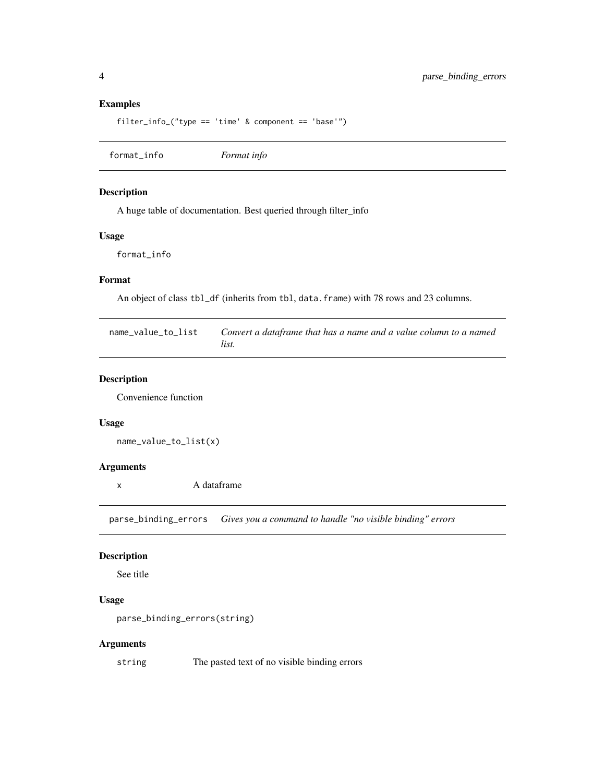#### <span id="page-3-0"></span>Examples

```
filter_info_("type == 'time' & component == 'base'")
```
format\_info *Format info*

#### Description

A huge table of documentation. Best queried through filter\_info

#### Usage

format\_info

#### Format

An object of class tbl\_df (inherits from tbl, data.frame) with 78 rows and 23 columns.

| name_value_to_list | Convert a dataframe that has a name and a value column to a named |
|--------------------|-------------------------------------------------------------------|
|                    | list.                                                             |

#### Description

Convenience function

#### Usage

name\_value\_to\_list(x)

#### Arguments

x A dataframe

parse\_binding\_errors *Gives you a command to handle "no visible binding" errors*

#### Description

See title

#### Usage

parse\_binding\_errors(string)

#### Arguments

string The pasted text of no visible binding errors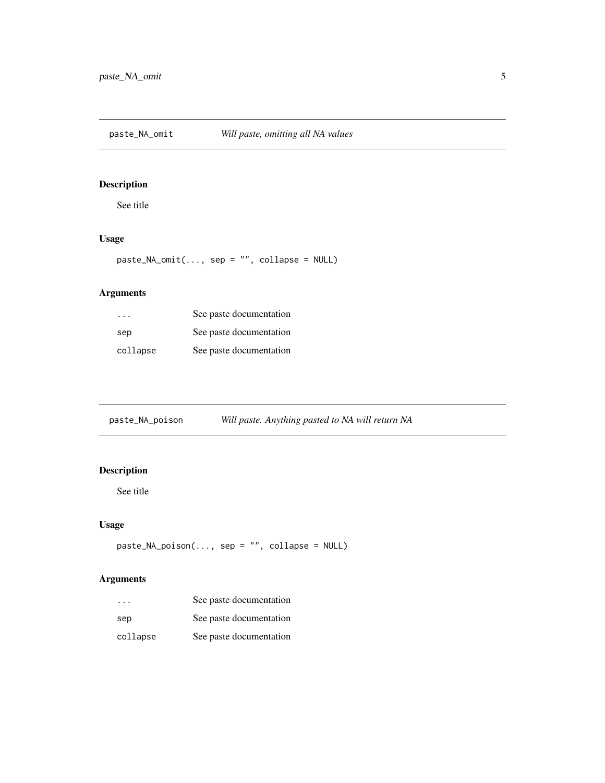<span id="page-4-0"></span>paste\_NA\_omit *Will paste, omitting all NA values*

#### Description

See title

#### Usage

paste\_NA\_omit(..., sep = "", collapse = NULL)

#### Arguments

| $\cdots$ | See paste documentation |
|----------|-------------------------|
| sep      | See paste documentation |
| collapse | See paste documentation |

paste\_NA\_poison *Will paste. Anything pasted to NA will return NA*

#### Description

#### See title

#### Usage

```
paste_NA_poison(..., sep = "", collapse = NULL)
```
#### Arguments

| $\cdots$ | See paste documentation |
|----------|-------------------------|
| sep      | See paste documentation |
| collapse | See paste documentation |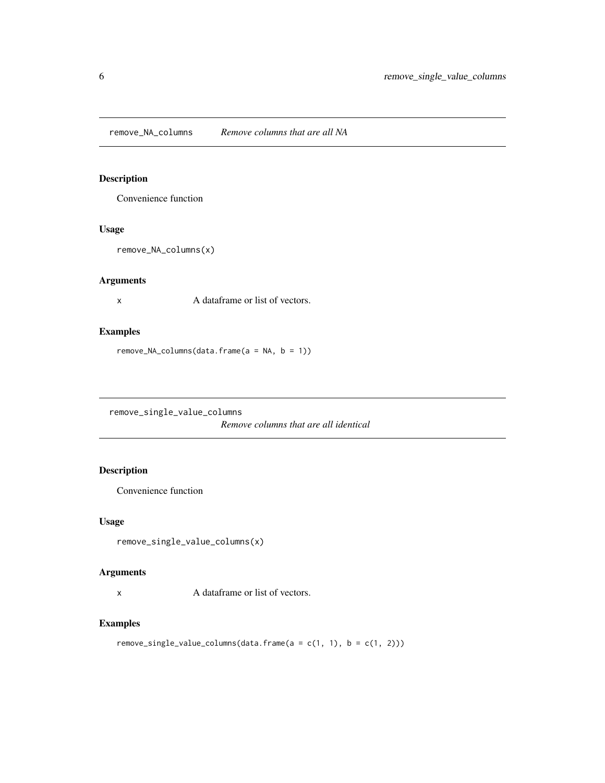<span id="page-5-0"></span>remove\_NA\_columns *Remove columns that are all NA*

#### Description

Convenience function

#### Usage

```
remove_NA_columns(x)
```
#### Arguments

x A dataframe or list of vectors.

#### Examples

remove\_NA\_columns(data.frame(a = NA, b = 1))

remove\_single\_value\_columns

*Remove columns that are all identical*

#### Description

Convenience function

#### Usage

```
remove_single_value_columns(x)
```
#### Arguments

x A dataframe or list of vectors.

#### Examples

remove\_single\_value\_columns(data.frame( $a = c(1, 1)$ ,  $b = c(1, 2))$ )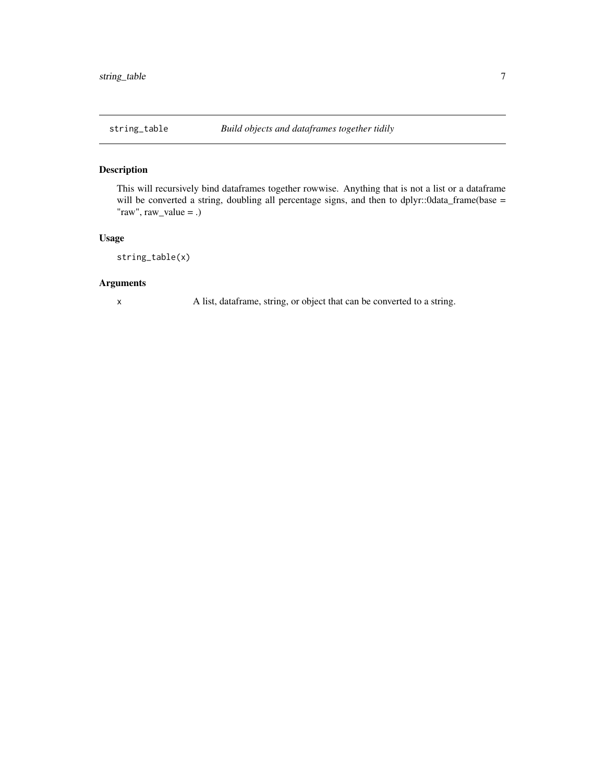<span id="page-6-0"></span>

#### Description

This will recursively bind dataframes together rowwise. Anything that is not a list or a dataframe will be converted a string, doubling all percentage signs, and then to dplyr::0data\_frame(base = " $raw$ ",  $raw_value = .$ )

#### Usage

```
string_table(x)
```
#### Arguments

x A list, dataframe, string, or object that can be converted to a string.